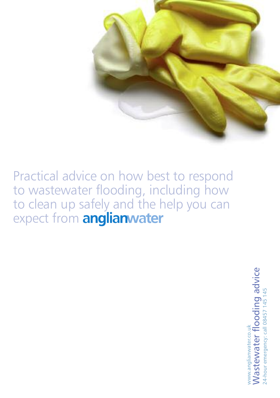

Practical advice on how best to respond to wastewater flooding, including how to clean up safely and the help you can expect from

> ww Wa w.anglianwater.co.uk ste w ater flo o din o a  $\mathbf{\overline{o}}$ vic e 24-hour emergency: call 08457 145 145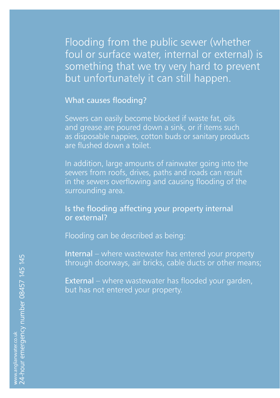Flooding from the public sewer (whether foul or surface water, internal or external) is something that we try very hard to prevent but unfortunately it can still happen.

What causes flooding?

Sewers can easily become blocked if waste fat, oils and grease are poured down a sink, or if items such as disposable nappies, cotton buds or sanitary products are flushed down a toilet.

In addition, large amounts of rainwater going into the sewers from roofs, drives, paths and roads can result in the sewers overflowing and causing flooding of the surrounding area.

### Is the flooding affecting your property internal or external?

Flooding can be described as being:

Internal – where wastewater has entered your property through doorways, air bricks, cable ducts or other means;

External – where wastewater has flooded your garden, but has not entered your property.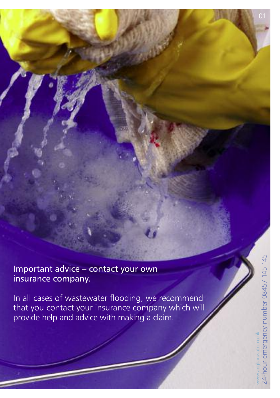Important advice – contact your own insurance company.

In all cases of wastewater flooding, we recommend that you contact your insurance company which will provide help and advice with making a claim.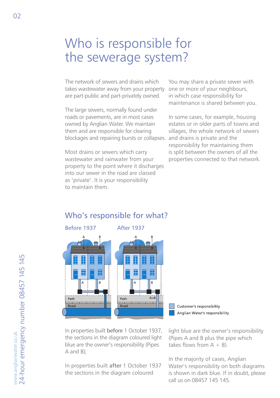# Who is responsible for the sewerage system?

The network of sewers and drains which takes wastewater away from your property are part-public and part-privately owned.

The large sewers, normally found under roads or pavements, are in most cases owned by Anglian Water. We maintain them and are responsible for clearing blockages and repairing bursts or collapses.

Most drains or sewers which carry wastewater and rainwater from your property to the point where it discharges into our sewer in the road are classed as 'private'. It is your responsibility to maintain them.

You may share a private sewer with one or more of your neighbours, in which case responsibility for maintenance is shared between you.

In some cases, for example, housing estates or in older parts of towns and villages, the whole network of sewers and drains is private and the responsibility for maintaining them is split between the owners of all the properties connected to that network.

### Who's responsible for what?



In properties built before 1 October 1937, the sections in the diagram coloured light blue are the owner's responsibility (Pipes A and B);

In properties built after 1 October 1937 the sections in the diagram coloured



light blue are the owner's responsibility (Pipes A and B plus the pipe which takes flows from  $A + B$ ).

In the majority of cases, Anglian Water's responsibility on both diagrams is shown in dark blue. If in doubt, please call us on 08457 145 145.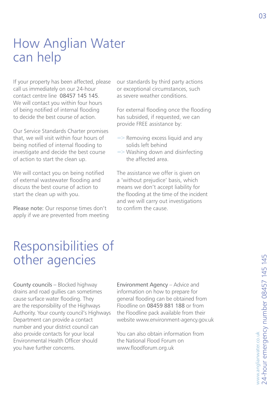# How Anglian Water can help

If your property has been affected, please call us immediately on our 24-hour contact centre line 08457 145 145. We will contact you within four hours of being notified of internal flooding to decide the best course of action.

Our Service Standards Charter promises that, we will visit within four hours of being notified of internal flooding to investigate and decide the best course of action to start the clean up.

We will contact you on being notified of external wastewater flooding and discuss the best course of action to start the clean up with you.

Please note: Our response times don't apply if we are prevented from meeting our standards by third party actions or exceptional circumstances, such as severe weather conditions.

For external flooding once the flooding has subsided, if requested, we can provide FREE assistance by:

- $\Rightarrow$  Removing excess liquid and any solids left behind
- $\Rightarrow$  Washing down and disinfecting the affected area.

The assistance we offer is given on a 'without prejudice' basis, which means we don't accept liability for the flooding at the time of the incident and we will carry out investigations to confirm the cause.

# Responsibilities of other agencies

County councils – Blocked highway drains and road gullies can sometimes cause surface water flooding. They are the responsibility of the Highways Authority. Your county council's Highways Department can provide a contact number and your district council can also provide contacts for your local Environmental Health Officer should you have further concerns.

Environment Agency – Advice and information on how to prepare for general flooding can be obtained from Floodline on 08459 881 188 or from the Floodline pack available from their website www.environment-agency.gov.uk

You can also obtain information from the National Flood Forum on www.floodforum.org.uk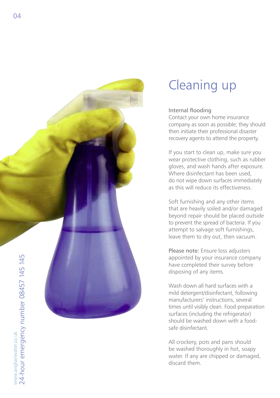

# Cleaning up

#### Internal flooding

Contact your own home insurance company as soon as possible; they should then initiate their professional disaster recovery agents to attend the property.

If you start to clean up, make sure you wear protective clothing, such as rubber gloves, and wash hands after exposure. Where disinfectant has been used, do not wipe down surfaces immediately as this will reduce its effectiveness.

Soft furnishing and any other items that are heavily soiled and/or damaged beyond repair should be placed outside to prevent the spread of bacteria. If you attempt to salvage soft furnishings, leave them to dry out, then vacuum.

Please note: Ensure loss adjusters appointed by your insurance company have completed their survey before disposing of any items.

Wash down all hard surfaces with a mild detergent/disinfectant, following manufacturers' instructions, several times until visibly clean. Food preparation surfaces (including the refrigerator) should be washed down with a foodsafe disinfectant.

All crockery, pots and pans should be washed thoroughly in hot, soapy water. If any are chipped or damaged, discard them.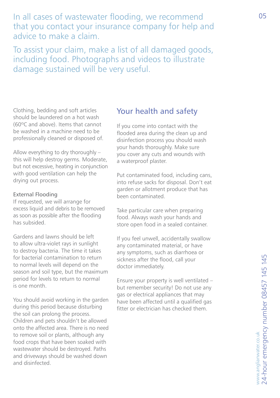In all cases of wastewater flooding, we recommend that you contact your insurance company for help and advice to make a claim.

To assist your claim, make a list of all damaged goods, including food. Photographs and videos to illustrate damage sustained will be very useful.

Clothing, bedding and soft articles should be laundered on a hot wash (60ºC and above). Items that cannot be washed in a machine need to be professionally cleaned or disposed of.

Allow everything to dry thoroughly – this will help destroy germs. Moderate, but not excessive, heating in conjunction with good ventilation can help the drying out process.

#### External Flooding

If requested, we will arrange for excess liquid and debris to be removed as soon as possible after the flooding has subsided.

Gardens and lawns should be left to allow ultra-violet rays in sunlight to destroy bacteria. The time it takes for bacterial contamination to return to normal levels will depend on the season and soil type, but the maximum period for levels to return to normal is one month.

You should avoid working in the garden during this period because disturbing the soil can prolong the process. Children and pets shouldn't be allowed onto the affected area. There is no need to remove soil or plants, although any food crops that have been soaked with wastewater should be destroyed. Paths and driveways should be washed down and disinfected.

### Your health and safety

If you come into contact with the flooded area during the clean up and disinfection process you should wash your hands thoroughly. Make sure you cover any cuts and wounds with a waterproof plaster.

Put contaminated food, including cans, into refuse sacks for disposal. Don't eat garden or allotment produce that has been contaminated.

Take particular care when preparing food. Always wash your hands and store open food in a sealed container.

If you feel unwell, accidentally swallow any contaminated material, or have any symptoms, such as diarrhoea or sickness after the flood, call your doctor immediately.

Ensure your property is well ventilated – but remember security! Do not use any gas or electrical appliances that may have been affected until a qualified gas fitter or electrician has checked them.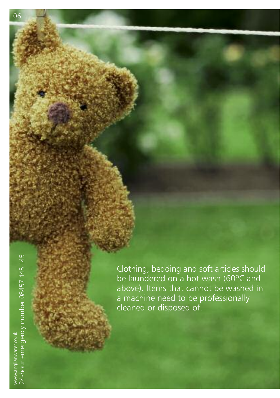Clothing, bedding and soft articles should be laundered on a hot wash (60ºC and above). Items that cannot be washed in a machine need to be professionally cleaned or disposed of.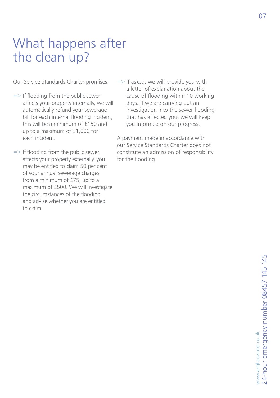# What happens after the clean up?

Our Service Standards Charter promises:

- $\Rightarrow$  If flooding from the public sewer affects your property internally, we will automatically refund your sewerage bill for each internal flooding incident, this will be a minimum of £150 and up to a maximum of £1,000 for each incident.
- $\Rightarrow$  If flooding from the public sewer affects your property externally, you may be entitled to claim 50 per cent of your annual sewerage charges from a minimum of £75, up to a maximum of £500. We will investigate the circumstances of the flooding and advise whether you are entitled to claim.
- $\Rightarrow$  If asked, we will provide you with a letter of explanation about the cause of flooding within 10 working days. If we are carrying out an investigation into the sewer flooding that has affected you, we will keep you informed on our progress.

A payment made in accordance with our Service Standards Charter does not constitute an admission of responsibility for the flooding.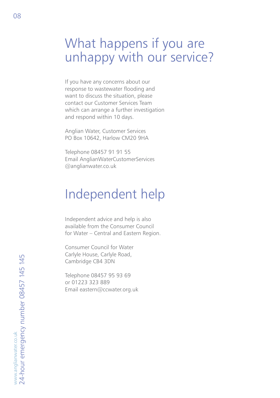## What happens if you are unhappy with our service?

If you have any concerns about our response to wastewater flooding and want to discuss the situation, please contact our Customer Services Team which can arrange a further investigation and respond within 10 days.

Anglian Water, Customer Services PO Box 10642, Harlow CM20 9HA

Telephone 08457 91 91 55 Email AnglianWaterCustomerServices @anglianwater.co.uk

## Independent help

Independent advice and help is also available from the Consumer Council for Water – Central and Eastern Region.

Consumer Council for Water Carlyle House, Carlyle Road, Cambridge CB4 3DN

Telephone 08457 95 93 69 or 01223 323 889 Email eastern@ccwater.org.uk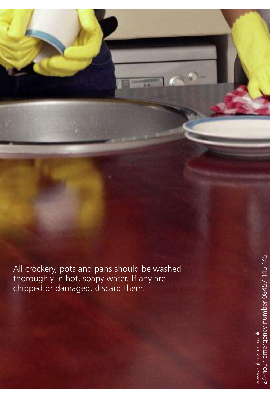All crockery, pots and pans should be washed thoroughly in hot, soapy water. If any are chipped or damaged, discard them.

BC1